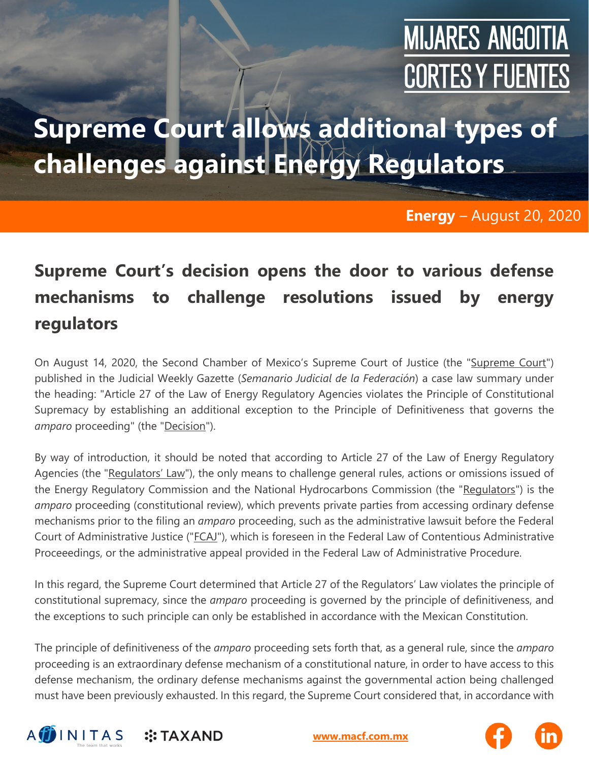## **MIJARES ANGOITIA CORTES Y FUENTES**

### **Supreme Court allows additional types of challenges against Energy Regulators**

#### **Energy** – August 20, 2020

### **Supreme Court's decision opens the door to various defense mechanisms to challenge resolutions issued by energy regulators**

On August 14, 2020, the Second Chamber of Mexico's Supreme Court of Justice (the "Supreme Court") published in the Judicial Weekly Gazette (*Semanario Judicial de la Federación*) a case law summary under the heading: "Article 27 of the Law of Energy Regulatory Agencies violates the Principle of Constitutional Supremacy by establishing an additional exception to the Principle of Definitiveness that governs the *amparo* proceeding" (the "Decision").

By way of introduction, it should be noted that according to Article 27 of the Law of Energy Regulatory Agencies (the "Regulators' Law"), the only means to challenge general rules, actions or omissions issued of the Energy Regulatory Commission and the National Hydrocarbons Commission (the "Regulators") is the *amparo* proceeding (constitutional review), which prevents private parties from accessing ordinary defense mechanisms prior to the filing an *amparo* proceeding, such as the administrative lawsuit before the Federal Court of Administrative Justice ("FCAJ"), which is foreseen in the Federal Law of Contentious Administrative Proceeedings, or the administrative appeal provided in the Federal Law of Administrative Procedure.

In this regard, the Supreme Court determined that Article 27 of the Regulators' Law violates the principle of constitutional supremacy, since the *amparo* proceeding is governed by the principle of definitiveness, and the exceptions to such principle can only be established in accordance with the Mexican Constitution.

The principle of definitiveness of the *amparo* proceeding sets forth that, as a general rule, since the *amparo* proceeding is an extraordinary defense mechanism of a constitutional nature, in order to have access to this defense mechanism, the ordinary defense mechanisms against the governmental action being challenged must have been previously exhausted. In this regard, the Supreme Court considered that, in accordance with



**[www.macf.com.mx](http://www.macf.com.mx/)**

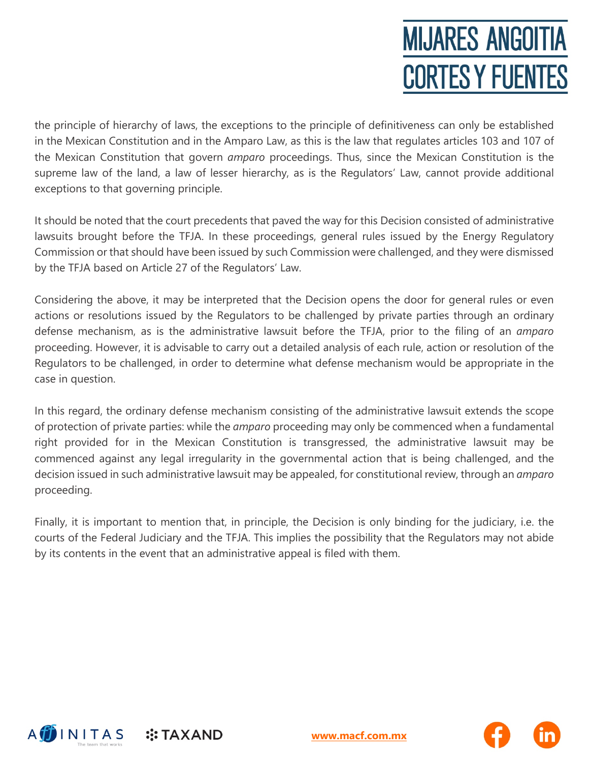# **MIJARES ANGOITIA CORTES Y FUENTES**

the principle of hierarchy of laws, the exceptions to the principle of definitiveness can only be established in the Mexican Constitution and in the Amparo Law, as this is the law that regulates articles 103 and 107 of the Mexican Constitution that govern *amparo* proceedings. Thus, since the Mexican Constitution is the supreme law of the land, a law of lesser hierarchy, as is the Regulators' Law, cannot provide additional exceptions to that governing principle.

It should be noted that the court precedents that paved the way for this Decision consisted of administrative lawsuits brought before the TFJA. In these proceedings, general rules issued by the Energy Regulatory Commission or that should have been issued by such Commission were challenged, and they were dismissed by the TFJA based on Article 27 of the Regulators' Law.

Considering the above, it may be interpreted that the Decision opens the door for general rules or even actions or resolutions issued by the Regulators to be challenged by private parties through an ordinary defense mechanism, as is the administrative lawsuit before the TFJA, prior to the filing of an *amparo* proceeding. However, it is advisable to carry out a detailed analysis of each rule, action or resolution of the Regulators to be challenged, in order to determine what defense mechanism would be appropriate in the case in question.

In this regard, the ordinary defense mechanism consisting of the administrative lawsuit extends the scope of protection of private parties: while the *amparo* proceeding may only be commenced when a fundamental right provided for in the Mexican Constitution is transgressed, the administrative lawsuit may be commenced against any legal irregularity in the governmental action that is being challenged, and the decision issued in such administrative lawsuit may be appealed, for constitutional review, through an *amparo* proceeding.

Finally, it is important to mention that, in principle, the Decision is only binding for the judiciary, i.e. the courts of the Federal Judiciary and the TFJA. This implies the possibility that the Regulators may not abide by its contents in the event that an administrative appeal is filed with them.



**[www.macf.com.mx](http://www.macf.com.mx/)**